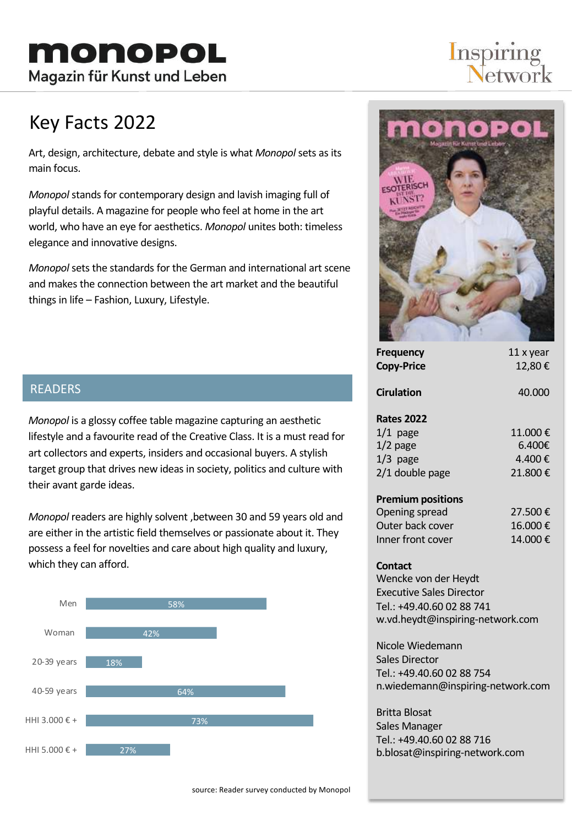# **Inspiring**<br>Network

### Key Facts 2022

Art, design, architecture, debate and style is what *Monopol* sets as its main focus.

*Monopol* stands for contemporary design and lavish imaging full of playful details. A magazine for people who feel at home in the art world, who have an eye for aesthetics. *Monopol* unites both: timeless elegance and innovative designs.

*Monopol* sets the standards for the German and international art scene and makes the connection between the art market and the beautiful things in life – Fashion, Luxury, Lifestyle.



| <b>Frequency</b><br><b>Copy-Price</b> | 11 x year<br>12.80€ |
|---------------------------------------|---------------------|
| <b>Cirulation</b>                     | 40.000              |
| <b>Rates 2022</b>                     |                     |
| $1/1$ page                            | 11.000€             |
| $1/2$ page                            | 6.400€              |
| $1/3$ page                            | 4.400 €             |
| 2/1 double page                       | 21.800€             |
| <b>Premium positions</b>              |                     |
| Opening spread                        | 27.500€             |
| Outer back cover                      | 16.000€             |

#### **Contact**

Wencke von der Heydt Executive Sales Director Tel.: +49.40.60 02 88 741 w.vd.heydt@inspiring-network.com

Inner front cover 14.000  $\epsilon$ 

Nicole Wiedemann Sales Director Tel.: +49.40.60 02 88 754 n.wiedemann@inspiring-network.com

Britta Blosat Sales Manager Tel.: +49.40.60 02 88 716 b.blosat@inspiring-network.com

### READERS

*Monopol* is a glossy coffee table magazine capturing an aesthetic lifestyle and a favourite read of the Creative Class. It is a must read for art collectors and experts, insiders and occasional buyers. A stylish target group that drives new ideas in society, politics and culture with their avant garde ideas.

*Monopol* readers are highly solvent ,between 30 and 59 years old and are either in the artistic field themselves or passionate about it. They possess a feel for novelties and care about high quality and luxury, which they can afford.